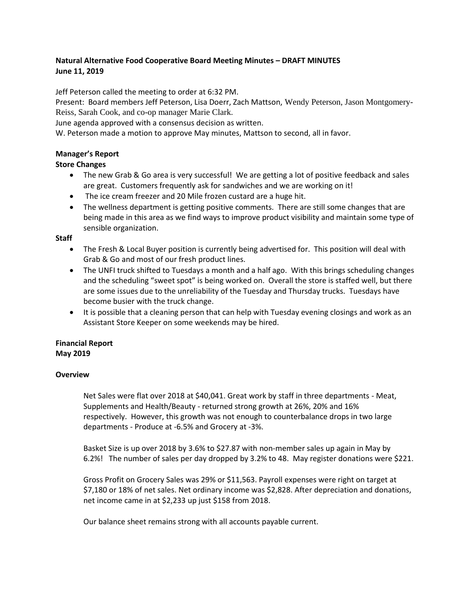# **Natural Alternative Food Cooperative Board Meeting Minutes – DRAFT MINUTES June 11, 2019**

Jeff Peterson called the meeting to order at 6:32 PM.

Present: Board members Jeff Peterson, Lisa Doerr, Zach Mattson, Wendy Peterson, Jason Montgomery-Reiss, Sarah Cook, and co-op manager Marie Clark.

June agenda approved with a consensus decision as written.

W. Peterson made a motion to approve May minutes, Mattson to second, all in favor.

## **Manager's Report**

## **Store Changes**

- The new Grab & Go area is very successful! We are getting a lot of positive feedback and sales are great. Customers frequently ask for sandwiches and we are working on it!
- The ice cream freezer and 20 Mile frozen custard are a huge hit.
- The wellness department is getting positive comments. There are still some changes that are being made in this area as we find ways to improve product visibility and maintain some type of sensible organization.

### **Staff**

- The Fresh & Local Buyer position is currently being advertised for. This position will deal with Grab & Go and most of our fresh product lines.
- The UNFI truck shifted to Tuesdays a month and a half ago. With this brings scheduling changes and the scheduling "sweet spot" is being worked on. Overall the store is staffed well, but there are some issues due to the unreliability of the Tuesday and Thursday trucks. Tuesdays have become busier with the truck change.
- It is possible that a cleaning person that can help with Tuesday evening closings and work as an Assistant Store Keeper on some weekends may be hired.

#### **Financial Report May 2019**

### **Overview**

Net Sales were flat over 2018 at \$40,041. Great work by staff in three departments - Meat, Supplements and Health/Beauty - returned strong growth at 26%, 20% and 16% respectively. However, this growth was not enough to counterbalance drops in two large departments - Produce at -6.5% and Grocery at -3%.

Basket Size is up over 2018 by 3.6% to \$27.87 with non-member sales up again in May by 6.2%! The number of sales per day dropped by 3.2% to 48. May register donations were \$221.

Gross Profit on Grocery Sales was 29% or \$11,563. Payroll expenses were right on target at \$7,180 or 18% of net sales. Net ordinary income was \$2,828. After depreciation and donations, net income came in at \$2,233 up just \$158 from 2018.

Our balance sheet remains strong with all accounts payable current.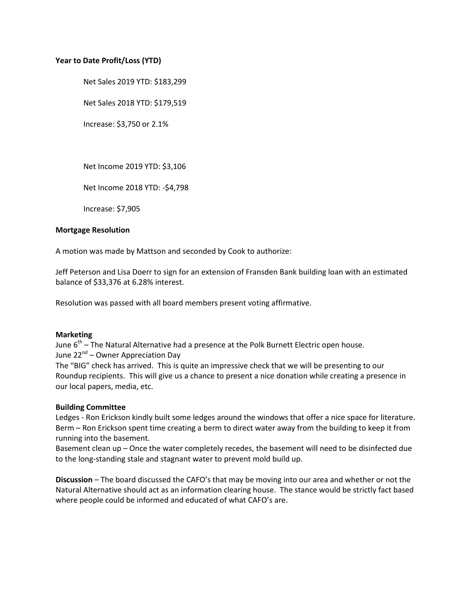#### **Year to Date Profit/Loss (YTD)**

Net Sales 2019 YTD: \$183,299

Net Sales 2018 YTD: \$179,519

Increase: \$3,750 or 2.1%

Net Income 2019 YTD: \$3,106

Net Income 2018 YTD: -\$4,798

Increase: \$7,905

#### **Mortgage Resolution**

A motion was made by Mattson and seconded by Cook to authorize:

Jeff Peterson and Lisa Doerr to sign for an extension of Fransden Bank building loan with an estimated balance of \$33,376 at 6.28% interest.

Resolution was passed with all board members present voting affirmative.

#### **Marketing**

June  $6^{th}$  – The Natural Alternative had a presence at the Polk Burnett Electric open house. June 22<sup>nd</sup> – Owner Appreciation Day

The "BIG" check has arrived. This is quite an impressive check that we will be presenting to our Roundup recipients. This will give us a chance to present a nice donation while creating a presence in our local papers, media, etc.

#### **Building Committee**

Ledges - Ron Erickson kindly built some ledges around the windows that offer a nice space for literature. Berm – Ron Erickson spent time creating a berm to direct water away from the building to keep it from running into the basement.

Basement clean up – Once the water completely recedes, the basement will need to be disinfected due to the long-standing stale and stagnant water to prevent mold build up.

**Discussion** – The board discussed the CAFO's that may be moving into our area and whether or not the Natural Alternative should act as an information clearing house. The stance would be strictly fact based where people could be informed and educated of what CAFO's are.